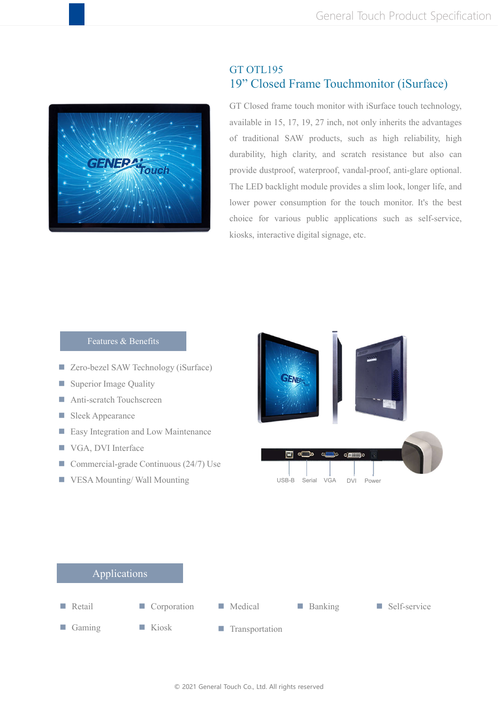

## GT OTL195 19" Closed Frame Touchmonitor (iSurface)

GT Closed frame touch monitor with iSurface touch technology, available in 15, 17, 19, 27 inch, not only inherits the advantages of traditional SAW products, such as high reliability, high durability, high clarity, and scratch resistance but also can provide dustproof, waterproof, vandal-proof, anti-glare optional. The LED backlight module provides a slim look, longer life, and lower power consumption for the touch monitor. It's the best choice for various public applications such as self-service, kiosks, interactive digital signage, etc.



## © 2021 General Touch Co., Ltd. All rights reserved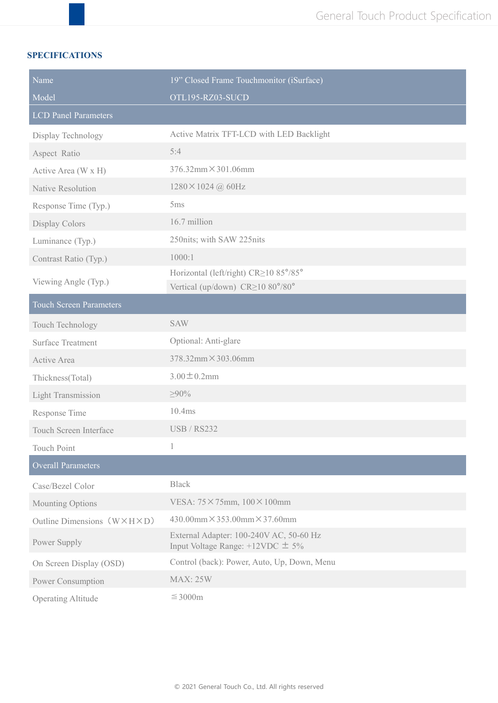## **SPECIFICATIONS**

| Name                                       | 19" Closed Frame Touchmonitor (iSurface)                                           |  |  |
|--------------------------------------------|------------------------------------------------------------------------------------|--|--|
| Model                                      | OTL195-RZ03-SUCD                                                                   |  |  |
| <b>LCD Panel Parameters</b>                |                                                                                    |  |  |
| Display Technology                         | Active Matrix TFT-LCD with LED Backlight                                           |  |  |
| Aspect Ratio                               | 5:4                                                                                |  |  |
| Active Area (W x H)                        | $376.32$ mm $\times$ 301.06mm                                                      |  |  |
| Native Resolution                          | $1280 \times 1024$ (a) 60Hz                                                        |  |  |
| Response Time (Typ.)                       | 5ms                                                                                |  |  |
| Display Colors                             | 16.7 million                                                                       |  |  |
| Luminance (Typ.)                           | 250nits; with SAW 225nits                                                          |  |  |
| Contrast Ratio (Typ.)                      | 1000:1                                                                             |  |  |
| Viewing Angle (Typ.)                       | Horizontal (left/right) CR≥10 85°/85°<br>Vertical (up/down) CR≥10 80°/80°          |  |  |
| <b>Touch Screen Parameters</b>             |                                                                                    |  |  |
| Touch Technology                           | <b>SAW</b>                                                                         |  |  |
| <b>Surface Treatment</b>                   | Optional: Anti-glare                                                               |  |  |
| Active Area                                | 378.32mm×303.06mm                                                                  |  |  |
| Thickness(Total)                           | $3.00 \pm 0.2$ mm                                                                  |  |  |
| <b>Light Transmission</b>                  | $\geq 90\%$                                                                        |  |  |
| Response Time                              | 10.4ms                                                                             |  |  |
| Touch Screen Interface                     | <b>USB / RS232</b>                                                                 |  |  |
| <b>Touch Point</b>                         |                                                                                    |  |  |
| <b>Overall Parameters</b>                  |                                                                                    |  |  |
| Case/Bezel Color                           | <b>Black</b>                                                                       |  |  |
| Mounting Options                           | VESA: 75×75mm, 100×100mm                                                           |  |  |
| Outline Dimensions $(W \times H \times D)$ | $430.00$ mm $\times$ 353.00mm $\times$ 37.60mm                                     |  |  |
| Power Supply                               | External Adapter: 100-240V AC, 50-60 Hz<br>Input Voltage Range: $+12$ VDC $\pm$ 5% |  |  |
| On Screen Display (OSD)                    | Control (back): Power, Auto, Up, Down, Menu                                        |  |  |
| Power Consumption                          | <b>MAX: 25W</b>                                                                    |  |  |
| <b>Operating Altitude</b>                  | $\leq$ 3000m                                                                       |  |  |